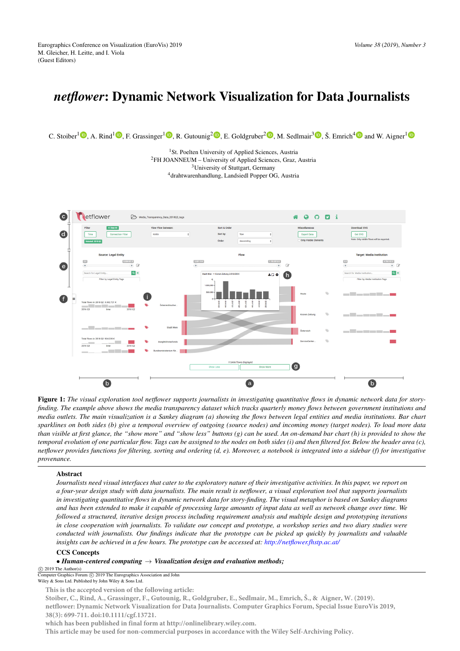# *netflower*: Dynamic Network Visualization for Data Journalists

C. Stoiber<sup>1</sup><sup>®</sup>[,](https://orcid.org/0000-0002-0754-0320) A. Rind<sup>[1](https://orcid.org/0000-0001-5762-1869)</sup><sup>®</sup>, F. Grassinger<sup>1</sup><sup>®</sup>, R. Gutounig<sup>2</sup><sup>®</sup>, E. Goldgruber<sup>2</sup><sup>®</sup>, M. Sedlmair<sup>[3](https://orcid.org/0000-0001-7048-9292)</sup><sup>®</sup>, Š. Emrich<sup>[4](https://orcid.org/0000-0002-5555-3185)</sup><sup>®</sup> and W. Aigner<sup>1</sup>

<sup>1</sup>St. Poelten University of Applied Sciences, Austria FH JOANNEUM – University of Applied Sciences, Graz, Austria University of Stuttgart, Germany drahtwarenhandlung, Landsiedl Popper OG, Austria



<span id="page-0-0"></span>Figure 1: The visual exploration tool netflower supports journalists in investigating quantitative flows in dynamic network data for story*finding. The example above shows the media transparency dataset which tracks quarterly money flows between government institutions and media outlets. The main visualization is a Sankey diagram (a) showing the flows between legal entities and media institutions. Bar chart sparklines on both sides (b) give a temporal overview of outgoing (source nodes) and incoming money (target nodes). To load more data than visible at first glance, the "show more" and "show less" buttons (g) can be used. An on-demand bar chart (h) is provided to show the temporal evolution of one particular flow. Tags can be assigned to the nodes on both sides (i) and then filtered for. Below the header area (c), netflower provides functions for filtering, sorting and ordering (d, e). Moreover, a notebook is integrated into a sidebar (f) for investigative provenance.*

# Abstract

*Journalists need visual interfaces that cater to the exploratory nature of their investigative activities. In this paper, we report on a four-year design study with data journalists. The main result is netflower, a visual exploration tool that supports journalists in investigating quantitative flows in dynamic network data for story-finding. The visual metaphor is based on Sankey diagrams and has been extended to make it capable of processing large amounts of input data as well as network change over time. We followed a structured, iterative design process including requirement analysis and multiple design and prototyping iterations in close cooperation with journalists. To validate our concept and prototype, a workshop series and two diary studies were conducted with journalists. Our findings indicate that the prototype can be picked up quickly by journalists and valuable insights can be achieved in a few hours. The prototype can be accessed at: [http:// netflower.fhstp.ac.at/](http://netflower.fhstp.ac.at/)*

# CCS Concepts

# • *Human-centered computing* → *Visualization design and evaluation methods;*

 $\circ$  2019 The Author(s) Computer Graphics Forum (C) 2019 The Eurographics Association and John

Wiley & Sons Ltd. Published by John Wiley & Sons Ltd.

**This is the accepted version of the following article:** 

**Stoiber, C., Rind, A., Grassinger, F., Gutounig, R., Goldgruber, E., Sedlmair, M., Emrich, Š., & Aigner, W. (2019). [netflower: Dynamic Network Visualization for Data Journalists. Computer Graphics Forum, Special Issue EuroVis 2019,](https://doi.org/10.1111/cgf.13721)  38(3): 699-711. doi:10.1111/cgf.13721.** 

**which has been published in final form at http://onlinelibrary.wiley.com.** 

<span id="page-0-1"></span>**This article may be used for non-commercial purposes in accordance with t[he Wiley Self-Archiving Policy.](http://olabout.wiley.com/WileyCDA/Section/id-820227.html)**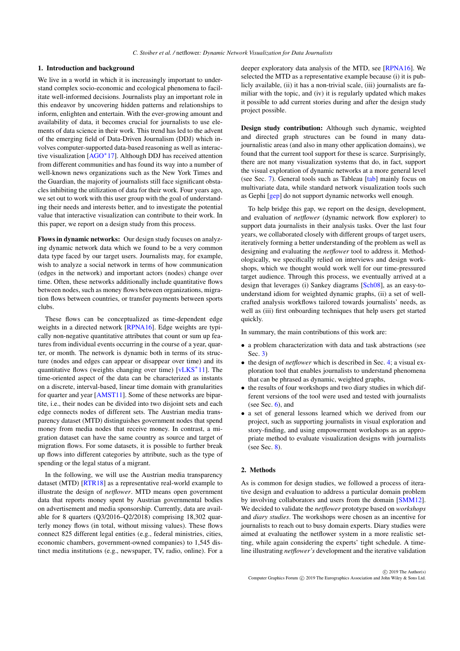# <span id="page-1-0"></span>1. Introduction and background

We live in a world in which it is increasingly important to understand complex socio-economic and ecological phenomena to facilitate well-informed decisions. Journalists play an important role in this endeavor by uncovering hidden patterns and relationships to inform, enlighten and entertain. With the ever-growing amount and availability of data, it becomes crucial for journalists to use elements of data science in their work. This trend has led to the advent of the emerging field of Data-Driven Journalism (DDJ) which involves computer-supported data-based reasoning as well as interactive visualization [\[AGO](#page-10-0)<sup>∗</sup> 17]. Although DDJ has received attention from different communities and has found its way into a number of well-known news organizations such as the New York Times and the Guardian, the majority of journalists still face significant obstacles inhibiting the utilization of data for their work. Four years ago, we set out to work with this user group with the goal of understanding their needs and interests better, and to investigate the potential value that interactive visualization can contribute to their work. In this paper, we report on a design study from this process.

Flows in dynamic networks: Our design study focuses on analyzing dynamic network data which we found to be a very common data type faced by our target users. Journalists may, for example, wish to analyze a social network in terms of how communication (edges in the network) and important actors (nodes) change over time. Often, these networks additionally include quantitative flows between nodes, such as money flows between organizations, migration flows between countries, or transfer payments between sports clubs.

These flows can be conceptualized as time-dependent edge weights in a directed network [\[RPNA16\]](#page-11-0). Edge weights are typically non-negative quantitative attributes that count or sum up features from individual events occurring in the course of a year, quarter, or month. The network is dynamic both in terms of its structure (nodes and edges can appear or disappear over time) and its quantitative flows (weights changing over time) [\[vLKS](#page-12-0)<sup>\*</sup>11]. The time-oriented aspect of the data can be characterized as instants on a discrete, interval-based, linear time domain with granularities for quarter and year [\[AMST11\]](#page-10-1). Some of these networks are bipartite, i.e., their nodes can be divided into two disjoint sets and each edge connects nodes of different sets. The Austrian media transparency dataset (MTD) distinguishes government nodes that spend money from media nodes that receive money. In contrast, a migration dataset can have the same country as source and target of migration flows. For some datasets, it is possible to further break up flows into different categories by attribute, such as the type of spending or the legal status of a migrant.

In the following, we will use the Austrian media transparency dataset (MTD) [\[RTR18\]](#page-11-1) as a representative real-world example to illustrate the design of *netflower*. MTD means open government data that reports money spent by Austrian governmental bodies on advertisement and media sponsorship. Currently, data are available for 8 quarters (Q3/2016–Q2/2018) comprising 18,302 quarterly money flows (in total, without missing values). These flows connect 825 different legal entities (e.g., federal ministries, cities, economic chambers, government-owned companies) to 1,545 distinct media institutions (e.g., newspaper, TV, radio, online). For a deeper exploratory data analysis of the MTD, see [\[RPNA16\]](#page-11-0). We selected the MTD as a representative example because (i) it is publicly available, (ii) it has a non-trivial scale, (iii) journalists are familiar with the topic, and (iv) it is regularly updated which makes it possible to add current stories during and after the design study project possible.

Design study contribution: Although such dynamic, weighted and directed graph structures can be found in many datajournalistic areas (and also in many other application domains), we found that the current tool support for these is scarce. Surprisingly, there are not many visualization systems that do, in fact, support the visual exploration of dynamic networks at a more general level (see Sec. [7\)](#page-7-0). General tools such as Tableau [\[tab\]](#page-11-2) mainly focus on multivariate data, while standard network visualization tools such as Gephi [\[gep\]](#page-10-2) do not support dynamic networks well enough.

To help bridge this gap, we report on the design, development, and evaluation of *netflower* (dynamic network flow explorer) to support data journalists in their analysis tasks. Over the last four years, we collaborated closely with different groups of target users, iteratively forming a better understanding of the problem as well as designing and evaluating the *netflower* tool to address it. Methodologically, we specifically relied on interviews and design workshops, which we thought would work well for our time-pressured target audience. Through this process, we eventually arrived at a design that leverages (i) Sankey diagrams [\[Sch08\]](#page-11-3), as an easy-tounderstand idiom for weighted dynamic graphs, (ii) a set of wellcrafted analysis workflows tailored towards journalists' needs, as well as (iii) first onboarding techniques that help users get started quickly.

In summary, the main contributions of this work are:

- a problem characterization with data and task abstractions (see Sec. [3\)](#page-2-0)
- the design of *netflower* which is described in Sec. [4;](#page-3-0) a visual exploration tool that enables journalists to understand phenomena that can be phrased as dynamic, weighted graphs,
- the results of four workshops and two diary studies in which different versions of the tool were used and tested with journalists (see Sec.  $6$ ), and
- a set of general lessons learned which we derived from our project, such as supporting journalists in visual exploration and story-finding, and using empowerment workshops as an appropriate method to evaluate visualization designs with journalists (see Sec. [8\)](#page-8-0).

### 2. Methods

As is common for design studies, we followed a process of iterative design and evaluation to address a particular domain problem by involving collaborators and users from the domain [\[SMM12\]](#page-11-4). We decided to validate the *netflower* prototype based on *workshops* and *diary studies*. The workshops were chosen as an incentive for journalists to reach out to busy domain experts. Diary studies were aimed at evaluating the netflower system in a more realistic setting, while again considering the experts' tight schedule. A timeline illustrating *netflower's* development and the iterative validation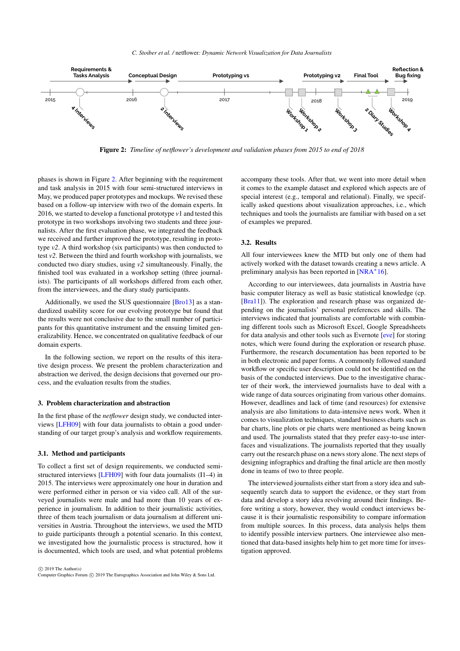<span id="page-2-2"></span>

<span id="page-2-1"></span>Figure 2: *Timeline of netflower's development and validation phases from 2015 to end of 2018*

phases is shown in Figure [2.](#page-2-1) After beginning with the requirement and task analysis in 2015 with four semi-structured interviews in May, we produced paper prototypes and mockups. We revised these based on a follow-up interview with two of the domain experts. In 2016, we started to develop a functional prototype *v*1 and tested this prototype in two workshops involving two students and three journalists. After the first evaluation phase, we integrated the feedback we received and further improved the prototype, resulting in prototype *v2*. A third workshop (six participants) was then conducted to test *v2*. Between the third and fourth workshop with journalists, we conducted two diary studies, using *v2* simultaneously. Finally, the finished tool was evaluated in a workshop setting (three journalists). The participants of all workshops differed from each other, from the interviewees, and the diary study participants.

Additionally, we used the SUS questionnaire [\[Bro13\]](#page-10-3) as a standardized usability score for our evolving prototype but found that the results were not conclusive due to the small number of participants for this quantitative instrument and the ensuing limited generalizability. Hence, we concentrated on qualitative feedback of our domain experts.

In the following section, we report on the results of this iterative design process. We present the problem characterization and abstraction we derived, the design decisions that governed our process, and the evaluation results from the studies.

# <span id="page-2-0"></span>3. Problem characterization and abstraction

In the first phase of the *netflower* design study, we conducted interviews [\[LFH09\]](#page-11-5) with four data journalists to obtain a good understanding of our target group's analysis and workflow requirements.

# 3.1. Method and participants

To collect a first set of design requirements, we conducted semistructured interviews [\[LFH09\]](#page-11-5) with four data journalists (I1–4) in 2015. The interviews were approximately one hour in duration and were performed either in person or via video call. All of the surveyed journalists were male and had more than 10 years of experience in journalism. In addition to their journalistic activities, three of them teach journalism or data journalism at different universities in Austria. Throughout the interviews, we used the MTD to guide participants through a potential scenario. In this context, we investigated how the journalistic process is structured, how it is documented, which tools are used, and what potential problems

 $\odot$  2019 The Author(s) Computer Graphics Forum  $\circled{c}$  2019 The Eurographics Association and John Wiley & Sons Ltd. accompany these tools. After that, we went into more detail when it comes to the example dataset and explored which aspects are of special interest (e.g., temporal and relational). Finally, we specifically asked questions about visualization approaches, i.e., which techniques and tools the journalists are familiar with based on a set of examples we prepared.

# 3.2. Results

All four interviewees knew the MTD but only one of them had actively worked with the dataset towards creating a news article. A preliminary analysis has been reported in [\[NRA](#page-11-6)<sup>\*</sup>16].

According to our interviewees, data journalists in Austria have basic computer literacy as well as basic statistical knowledge (cp. [\[Bra11\]](#page-10-4)). The exploration and research phase was organized depending on the journalists' personal preferences and skills. The interviews indicated that journalists are comfortable with combining different tools such as Microsoft Excel, Google Spreadsheets for data analysis and other tools such as Evernote [\[eve\]](#page-10-5) for storing notes, which were found during the exploration or research phase. Furthermore, the research documentation has been reported to be in both electronic and paper forms. A commonly followed standard workflow or specific user description could not be identified on the basis of the conducted interviews. Due to the investigative character of their work, the interviewed journalists have to deal with a wide range of data sources originating from various other domains. However, deadlines and lack of time (and resources) for extensive analysis are also limitations to data-intensive news work. When it comes to visualization techniques, standard business charts such as bar charts, line plots or pie charts were mentioned as being known and used. The journalists stated that they prefer easy-to-use interfaces and visualizations. The journalists reported that they usually carry out the research phase on a news story alone. The next steps of designing infographics and drafting the final article are then mostly done in teams of two to three people.

The interviewed journalists either start from a story idea and subsequently search data to support the evidence, or they start from data and develop a story idea revolving around their findings. Before writing a story, however, they would conduct interviews because it is their journalistic responsibility to compare information from multiple sources. In this process, data analysis helps them to identify possible interview partners. One interviewee also mentioned that data-based insights help him to get more time for investigation approved.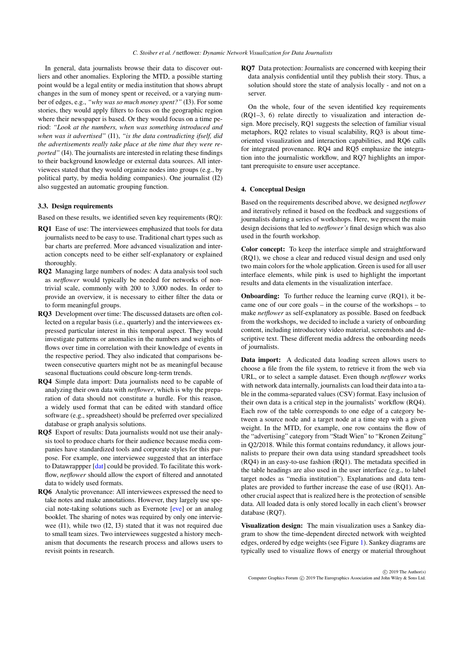<span id="page-3-1"></span>In general, data journalists browse their data to discover outliers and other anomalies. Exploring the MTD, a possible starting point would be a legal entity or media institution that shows abrupt changes in the sum of money spent or received, or a varying number of edges, e.g., *"why was so much money spent?"* (I3). For some stories, they would apply filters to focus on the geographic region where their newspaper is based. Or they would focus on a time period: *"Look at the numbers, when was something introduced and when was it advertised"* (I1), *"is the data contradicting ifself, did the advertisements really take place at the time that they were reported"* (I4). The journalists are interested in relating these findings to their background knowledge or external data sources. All interviewees stated that they would organize nodes into groups (e.g., by political party, by media holding companies). One journalist (I2) also suggested an automatic grouping function.

## 3.3. Design requirements

Based on these results, we identified seven key requirements (RQ):

- RQ1 Ease of use: The interviewees emphasized that tools for data journalists need to be easy to use. Traditional chart types such as bar charts are preferred. More advanced visualization and interaction concepts need to be either self-explanatory or explained thoroughly.
- RQ2 Managing large numbers of nodes: A data analysis tool such as *netflower* would typically be needed for networks of nontrivial scale, commonly with 200 to 3,000 nodes. In order to provide an overview, it is necessary to either filter the data or to form meaningful groups.
- RQ3 Development over time: The discussed datasets are often collected on a regular basis (i.e., quarterly) and the interviewees expressed particular interest in this temporal aspect. They would investigate patterns or anomalies in the numbers and weights of flows over time in correlation with their knowledge of events in the respective period. They also indicated that comparisons between consecutive quarters might not be as meaningful because seasonal fluctuations could obscure long-term trends.
- RQ4 Simple data import: Data journalists need to be capable of analyzing their own data with *netflower*, which is why the preparation of data should not constitute a hurdle. For this reason, a widely used format that can be edited with standard office software (e.g., spreadsheet) should be preferred over specialized database or graph analysis solutions.
- RQ5 Export of results: Data journalists would not use their analysis tool to produce charts for their audience because media companies have standardized tools and corporate styles for this purpose. For example, one interviewee suggested that an interface to Datawrappper [\[dat\]](#page-10-6) could be provided. To facilitate this workflow, *netflower* should allow the export of filtered and annotated data to widely used formats.
- RQ6 Analytic provenance: All interviewees expressed the need to take notes and make annotations. However, they largely use special note-taking solutions such as Evernote [\[eve\]](#page-10-5) or an analog booklet. The sharing of notes was required by only one interviewee (I1), while two (I2, I3) stated that it was not required due to small team sizes. Two interviewees suggested a history mechanism that documents the research process and allows users to revisit points in research.

RQ7 Data protection: Journalists are concerned with keeping their data analysis confidential until they publish their story. Thus, a solution should store the state of analysis locally - and not on a server.

On the whole, four of the seven identified key requirements (RQ1–3, 6) relate directly to visualization and interaction design. More precisely, RQ1 suggests the selection of familiar visual metaphors, RQ2 relates to visual scalability, RQ3 is about timeoriented visualization and interaction capabilities, and RQ6 calls for integrated provenance. RQ4 and RQ5 emphasize the integration into the journalistic workflow, and RQ7 highlights an important prerequisite to ensure user acceptance.

# <span id="page-3-0"></span>4. Conceptual Design

Based on the requirements described above, we designed *netflower* and iteratively refined it based on the feedback and suggestions of journalists during a series of workshops. Here, we present the main design decisions that led to *netflower's* final design which was also used in the fourth workshop.

Color concept: To keep the interface simple and straightforward (RQ1), we chose a clear and reduced visual design and used only two main colors for the whole application. Green is used for all user interface elements, while pink is used to highlight the important results and data elements in the visualization interface.

**Onboarding:** To further reduce the learning curve (RQ1), it became one of our core goals – in the course of the workshops – to make *netflower* as self-explanatory as possible. Based on feedback from the workshops, we decided to include a variety of onboarding content, including introductory video material, screenshots and descriptive text. These different media address the onboarding needs of journalists.

Data import: A dedicated data loading screen allows users to choose a file from the file system, to retrieve it from the web via URL, or to select a sample dataset. Even though *netflower* works with network data internally, journalists can load their data into a table in the comma-separated values (CSV) format. Easy inclusion of their own data is a critical step in the journalists' workflow (RQ4). Each row of the table corresponds to one edge of a category between a source node and a target node at a time step with a given weight. In the MTD, for example, one row contains the flow of the "advertising" category from "Stadt Wien" to "Kronen Zeitung" in Q2/2018. While this format contains redundancy, it allows journalists to prepare their own data using standard spreadsheet tools (RQ4) in an easy-to-use fashion (RQ1). The metadata specified in the table headings are also used in the user interface (e.g., to label target nodes as "media institution"). Explanations and data templates are provided to further increase the ease of use (RQ1). Another crucial aspect that is realized here is the protection of sensible data. All loaded data is only stored locally in each client's browser database (RO7).

Visualization design: The main visualization uses a Sankey diagram to show the time-dependent directed network with weighted edges, ordered by edge weights (see Figure [1\)](#page-0-0). Sankey diagrams are typically used to visualize flows of energy or material throughout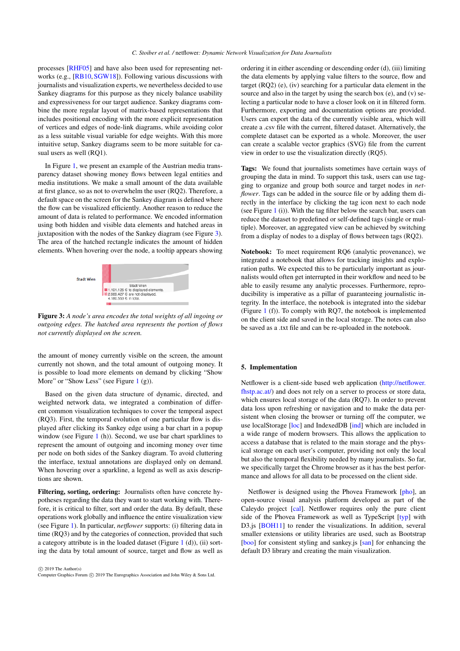<span id="page-4-1"></span>processes [\[RHF05\]](#page-11-7) and have also been used for representing networks (e.g., [\[RB10,](#page-11-8) [SGW18\]](#page-11-9)). Following various discussions with journalists and visualization experts, we nevertheless decided to use Sankey diagrams for this purpose as they nicely balance usability and expressiveness for our target audience. Sankey diagrams combine the more regular layout of matrix-based representations that includes positional encoding with the more explicit representation of vertices and edges of node-link diagrams, while avoiding color as a less suitable visual variable for edge weights. With this more intuitive setup, Sankey diagrams seem to be more suitable for casual users as well (RQ1).

In Figure [1,](#page-0-0) we present an example of the Austrian media transparency dataset showing money flows between legal entities and media institutions. We make a small amount of the data available at first glance, so as not to overwhelm the user (RQ2). Therefore, a default space on the screen for the Sankey diagram is defined where the flow can be visualized efficiently. Another reason to reduce the amount of data is related to performance. We encoded information using both hidden and visible data elements and hatched areas in juxtaposition with the nodes of the Sankey diagram (see Figure [3\)](#page-4-0). The area of the hatched rectangle indicates the amount of hidden elements. When hovering over the node, a tooltip appears showing



<span id="page-4-0"></span>Figure 3: *A node's area encodes the total weights of all ingoing or outgoing edges. The hatched area represents the portion of flows not currently displayed on the screen.*

the amount of money currently visible on the screen, the amount currently not shown, and the total amount of outgoing money. It is possible to load more elements on demand by clicking "Show More" or "Show Less" (see Figure  $1(g)$  $1(g)$ ).

Based on the given data structure of dynamic, directed, and weighted network data, we integrated a combination of different common visualization techniques to cover the temporal aspect (RQ3). First, the temporal evolution of one particular flow is displayed after clicking its Sankey edge using a bar chart in a popup window (see Figure [1](#page-0-0) (h)). Second, we use bar chart sparklines to represent the amount of outgoing and incoming money over time per node on both sides of the Sankey diagram. To avoid cluttering the interface, textual annotations are displayed only on demand. When hovering over a sparkline, a legend as well as axis descriptions are shown.

Filtering, sorting, ordering: Journalists often have concrete hypotheses regarding the data they want to start working with. Therefore, it is critical to filter, sort and order the data. By default, these operations work globally and influence the entire visualization view (see Figure [1\)](#page-0-0). In particular, *netflower* supports: (i) filtering data in time (RQ3) and by the categories of connection, provided that such a category attribute is in the loaded dataset (Figure [1](#page-0-0) (d)), (ii) sorting the data by total amount of source, target and flow as well as

 $\odot$  2019 The Author(s) Computer Graphics Forum (C) 2019 The Eurographics Association and John Wiley & Sons Ltd. ordering it in either ascending or descending order (d), (iii) limiting the data elements by applying value filters to the source, flow and target (RQ2) (e), (iv) searching for a particular data element in the source and also in the target by using the search box (e), and (v) selecting a particular node to have a closer look on it in filtered form. Furthermore, exporting and documentation options are provided. Users can export the data of the currently visible area, which will create a .csv file with the current, filtered dataset. Alternatively, the complete dataset can be exported as a whole. Moreover, the user can create a scalable vector graphics (SVG) file from the current view in order to use the visualization directly (RQ5).

Tags: We found that journalists sometimes have certain ways of grouping the data in mind. To support this task, users can use tagging to organize and group both source and target nodes in *netflower*. Tags can be added in the source file or by adding them directly in the interface by clicking the tag icon next to each node (see Figure [1](#page-0-0) (i)). With the tag filter below the search bar, users can reduce the dataset to predefined or self-defined tags (single or multiple). Moreover, an aggregated view can be achieved by switching from a display of nodes to a display of flows between tags (RQ2).

Notebook: To meet requirement RQ6 (analytic provenance), we integrated a notebook that allows for tracking insights and exploration paths. We expected this to be particularly important as journalists would often get interrupted in their workflow and need to be able to easily resume any analytic processes. Furthermore, reproducibility is imperative as a pillar of guaranteeing journalistic integrity. In the interface, the notebook is integrated into the sidebar (Figure [1](#page-0-0) (f)). To comply with RQ7, the notebook is implemented on the client side and saved in the local storage. The notes can also be saved as a .txt file and can be re-uploaded in the notebook.

#### 5. Implementation

Netflower is a client-side based web application [\(http://netflower.](http://netflower.fhstp.ac.at/) [fhstp.ac.at/\)](http://netflower.fhstp.ac.at/) and does not rely on a server to process or store data, which ensures local storage of the data (RQ7). In order to prevent data loss upon refreshing or navigation and to make the data persistent when closing the browser or turning off the computer, we use localStorage [\[loc\]](#page-11-10) and IndexedDB [\[ind\]](#page-10-7) which are included in a wide range of modern browsers. This allows the application to access a database that is related to the main storage and the physical storage on each user's computer, providing not only the local but also the temporal flexibility needed by many journalists. So far, we specifically target the Chrome browser as it has the best performance and allows for all data to be processed on the client side.

Netflower is designed using the Phovea Framework [\[pho\]](#page-11-11), an open-source visual analysis platform developed as part of the Caleydo project [\[cal\]](#page-10-8). Netflower requires only the pure client side of the Phovea Framework as well as TypeScript [\[typ\]](#page-11-12) with D3.js [\[BOH11\]](#page-10-9) to render the visualizations. In addition, several smaller extensions or utility libraries are used, such as Bootstrap [\[boo\]](#page-10-10) for consistent styling and sankey.js [\[san\]](#page-11-13) for enhancing the default D3 library and creating the main visualization.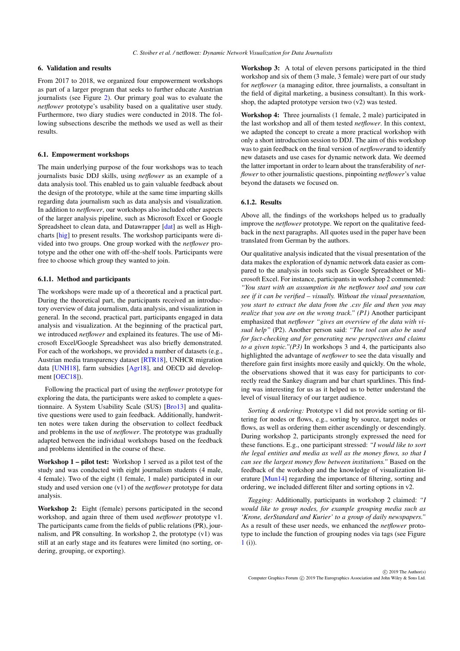# <span id="page-5-1"></span><span id="page-5-0"></span>6. Validation and results

From 2017 to 2018, we organized four empowerment workshops as part of a larger program that seeks to further educate Austrian journalists (see Figure [2\)](#page-2-1). Our primary goal was to evaluate the *netflower* prototype's usability based on a qualitative user study. Furthermore, two diary studies were conducted in 2018. The following subsections describe the methods we used as well as their results.

## 6.1. Empowerment workshops

The main underlying purpose of the four workshops was to teach journalists basic DDJ skills, using *netflower* as an example of a data analysis tool. This enabled us to gain valuable feedback about the design of the prototype, while at the same time imparting skills regarding data journalism such as data analysis and visualization. In addition to *netflower*, our workshops also included other aspects of the larger analysis pipeline, such as Microsoft Excel or Google Spreadsheet to clean data, and Datawrapper [\[dat\]](#page-10-6) as well as Highcharts [\[hig\]](#page-10-11) to present results. The workshop participants were divided into two groups. One group worked with the *netflower* prototype and the other one with off-the-shelf tools. Participants were free to choose which group they wanted to join.

# 6.1.1. Method and participants

The workshops were made up of a theoretical and a practical part. During the theoretical part, the participants received an introductory overview of data journalism, data analysis, and visualization in general. In the second, practical part, participants engaged in data analysis and visualization. At the beginning of the practical part, we introduced *netflower* and explained its features. The use of Microsoft Excel/Google Spreadsheet was also briefly demonstrated. For each of the workshops, we provided a number of datasets (e.g., Austrian media transparency dataset [\[RTR18\]](#page-11-1), UNHCR migration data [\[UNH18\]](#page-12-1), farm subsidies [\[Agr18\]](#page-10-12), and OECD aid develop-ment [\[OEC18\]](#page-11-14)).

Following the practical part of using the *netflower* prototype for exploring the data, the participants were asked to complete a questionnaire. A System Usability Scale (SUS) [\[Bro13\]](#page-10-3) and qualitative questions were used to gain feedback. Additionally, handwritten notes were taken during the observation to collect feedback and problems in the use of *netflower*. The prototype was gradually adapted between the individual workshops based on the feedback and problems identified in the course of these.

Workshop 1 – pilot test: Workshop 1 served as a pilot test of the study and was conducted with eight journalism students (4 male, 4 female). Two of the eight (1 female, 1 male) participated in our study and used version one (v1) of the *netflower* prototype for data analysis.

Workshop 2: Eight (female) persons participated in the second workshop, and again three of them used *netflower* prototype v1. The participants came from the fields of public relations (PR), journalism, and PR consulting. In workshop 2, the prototype (v1) was still at an early stage and its features were limited (no sorting, ordering, grouping, or exporting).

Workshop 3: A total of eleven persons participated in the third workshop and six of them (3 male, 3 female) were part of our study for *netflower* (a managing editor, three journalists, a consultant in the field of digital marketing, a business consultant). In this workshop, the adapted prototype version two (v2) was tested.

Workshop 4: Three journalists (1 female, 2 male) participated in the last workshop and all of them tested *netflower*. In this context, we adapted the concept to create a more practical workshop with only a short introduction session to DDJ. The aim of this workshop was to gain feedback on the final version of *netflower*and to identify new datasets and use cases for dynamic network data. We deemed the latter important in order to learn about the transferability of *netflower* to other journalistic questions, pinpointing *netflower*'s value beyond the datasets we focused on.

# 6.1.2. Results

Above all, the findings of the workshops helped us to gradually improve the *netflower* prototype. We report on the qualitative feedback in the next paragraphs. All quotes used in the paper have been translated from German by the authors.

Our qualitative analysis indicated that the visual presentation of the data makes the exploration of dynamic network data easier as compared to the analysis in tools such as Google Spreadsheet or Microsoft Excel. For instance, participants in workshop 2 commented: *"You start with an assumption in the netflower tool and you can see if it can be verified – visually. Without the visual presentation, you start to extract the data from the .csv file and then you may realize that you are on the wrong track." (P1)* Another participant emphasized that *netflower "gives an overview of the data with visual help"* (P2). Another person said: *"The tool can also be used for fact-checking and for generating new perspectives and claims to a given topic."(P3)* In workshops 3 and 4, the participants also highlighted the advantage of *netflower* to see the data visually and therefore gain first insights more easily and quickly. On the whole, the observations showed that it was easy for participants to correctly read the Sankey diagram and bar chart sparklines. This finding was interesting for us as it helped us to better understand the level of visual literacy of our target audience.

*Sorting & ordering:* Prototype v1 did not provide sorting or filtering for nodes or flows, e.g., sorting by source, target nodes or flows, as well as ordering them either ascendingly or descendingly. During workshop 2, participants strongly expressed the need for these functions. E.g., one participant stressed: *"I would like to sort the legal entities and media as well as the money flows, so that I can see the largest money flow between institutions."* Based on the feedback of the workshop and the knowledge of visualization literature [\[Mun14\]](#page-11-15) regarding the importance of filtering, sorting and ordering, we included different filter and sorting options in v2.

*Tagging:* Additionally, participants in workshop 2 claimed: *"I would like to group nodes, for example grouping media such as 'Krone, derStandard and Kurier' to a group of daily newspapers."* As a result of these user needs, we enhanced the *netflower* prototype to include the function of grouping nodes via tags (see Figure [1](#page-0-0) (i)).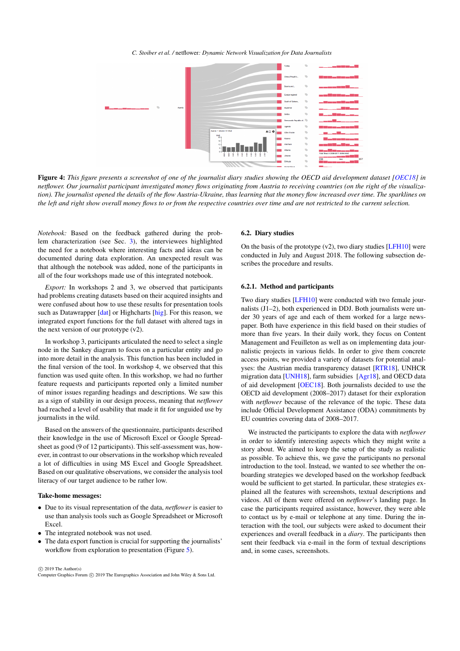*C. Stoiber et al. /* netflower*: Dynamic Network Visualization for Data Journalists*

<span id="page-6-1"></span>

<span id="page-6-0"></span>Figure 4: This figure presents a screenshot of one of the journalist diary studies showing the OECD aid development dataset [\[OEC18\]](#page-11-14) in *netflower. Our journalist participant investigated money flows originating from Austria to receiving countries (on the right of the visualization). The journalist opened the details of the flow Austria-Ukraine, thus learning that the money flow increased over time. The sparklines on the left and right show overall money flows to or from the respective countries over time and are not restricted to the current selection.*

*Notebook:* Based on the feedback gathered during the problem characterization (see Sec. [3\)](#page-2-0), the interviewees highlighted the need for a notebook where interesting facts and ideas can be documented during data exploration. An unexpected result was that although the notebook was added, none of the participants in all of the four workshops made use of this integrated notebook.

*Export:* In workshops 2 and 3, we observed that participants had problems creating datasets based on their acquired insights and were confused about how to use these results for presentation tools such as Datawrapper [\[dat\]](#page-10-6) or Highcharts [\[hig\]](#page-10-11). For this reason, we integrated export functions for the full dataset with altered tags in the next version of our prototype (v2).

In workshop 3, participants articulated the need to select a single node in the Sankey diagram to focus on a particular entity and go into more detail in the analysis. This function has been included in the final version of the tool. In workshop 4, we observed that this function was used quite often. In this workshop, we had no further feature requests and participants reported only a limited number of minor issues regarding headings and descriptions. We saw this as a sign of stability in our design process, meaning that *netflower* had reached a level of usability that made it fit for unguided use by journalists in the wild.

Based on the answers of the questionnaire, participants described their knowledge in the use of Microsoft Excel or Google Spreadsheet as good (9 of 12 participants). This self-assessment was, however, in contrast to our observations in the workshop which revealed a lot of difficulties in using MS Excel and Google Spreadsheet. Based on our qualitative observations, we consider the analysis tool literacy of our target audience to be rather low.

#### Take-home messages:

- Due to its visual representation of the data, *netflower* is easier to use than analysis tools such as Google Spreadsheet or Microsoft Excel.
- The integrated notebook was not used.
- The data export function is crucial for supporting the journalists' workflow from exploration to presentation (Figure [5\)](#page-8-1).

# 6.2. Diary studies

On the basis of the prototype  $(v2)$ , two diary studies [\[LFH10\]](#page-11-16) were conducted in July and August 2018. The following subsection describes the procedure and results.

# 6.2.1. Method and participants

Two diary studies [\[LFH10\]](#page-11-16) were conducted with two female journalists (J1–2), both experienced in DDJ. Both journalists were under 30 years of age and each of them worked for a large newspaper. Both have experience in this field based on their studies of more than five years. In their daily work, they focus on Content Management and Feuilleton as well as on implementing data journalistic projects in various fields. In order to give them concrete access points, we provided a variety of datasets for potential analyses: the Austrian media transparency dataset [\[RTR18\]](#page-11-1), UNHCR migration data [\[UNH18\]](#page-12-1), farm subsidies [\[Agr18\]](#page-10-12), and OECD data of aid development [\[OEC18\]](#page-11-14). Both journalists decided to use the OECD aid development (2008–2017) dataset for their exploration with *netflower* because of the relevance of the topic. These data include Official Development Assistance (ODA) commitments by EU countries covering data of 2008–2017.

We instructed the participants to explore the data with *netflower* in order to identify interesting aspects which they might write a story about. We aimed to keep the setup of the study as realistic as possible. To achieve this, we gave the participants no personal introduction to the tool. Instead, we wanted to see whether the onboarding strategies we developed based on the workshop feedback would be sufficient to get started. In particular, these strategies explained all the features with screenshots, textual descriptions and videos. All of them were offered on *netflower*'s landing page. In case the participants required assistance, however, they were able to contact us by e-mail or telephone at any time. During the interaction with the tool, our subjects were asked to document their experiences and overall feedback in a *diary*. The participants then sent their feedback via e-mail in the form of textual descriptions and, in some cases, screenshots.

 c 2019 The Author(s) Computer Graphics Forum  $\circled{c}$  2019 The Eurographics Association and John Wiley & Sons Ltd.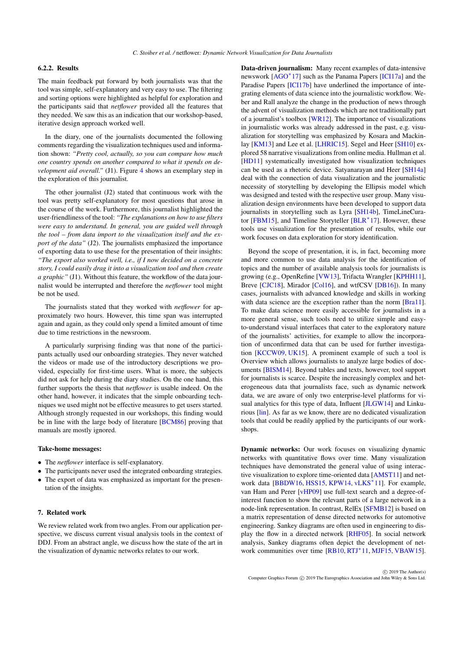# <span id="page-7-1"></span>6.2.2. Results

The main feedback put forward by both journalists was that the tool was simple, self-explanatory and very easy to use. The filtering and sorting options were highlighted as helpful for exploration and the participants said that *netflower* provided all the features that they needed. We saw this as an indication that our workshop-based, iterative design approach worked well.

In the diary, one of the journalists documented the following comments regarding the visualization techniques used and information shown: *"Pretty cool, actually, so you can compare how much one country spends on another compared to what it spends on development aid overall.*" (J1). Figure [4](#page-6-0) shows an exemplary step in the exploration of this journalist.

The other journalist (J2) stated that continuous work with the tool was pretty self-explanatory for most questions that arose in the course of the work. Furthermore, this journalist highlighted the user-friendliness of the tool: *"The explanations on how to use filters were easy to understand. In general, you are guided well through the tool – from data import to the visualization itself and the export of the data"* (J2). The journalists emphasized the importance of exporting data to use these for the presentation of their insights: *"The export also worked well, i.e., if I now decided on a concrete story, I could easily drag it into a visualization tool and then create a graphic"* (J1). Without this feature, the workflow of the data journalist would be interrupted and therefore the *netflower* tool might be not be used.

The journalists stated that they worked with *netflower* for approximately two hours. However, this time span was interrupted again and again, as they could only spend a limited amount of time due to time restrictions in the newsroom.

A particularly surprising finding was that none of the participants actually used our onboarding strategies. They never watched the videos or made use of the introductory descriptions we provided, especially for first-time users. What is more, the subjects did not ask for help during the diary studies. On the one hand, this further supports the thesis that *netflower* is usable indeed. On the other hand, however, it indicates that the simple onboarding techniques we used might not be effective measures to get users started. Although strongly requested in our workshops, this finding would be in line with the large body of literature [\[BCM86\]](#page-10-13) proving that manuals are mostly ignored.

#### Take-home messages:

- The *netflower* interface is self-explanatory.
- The participants never used the integrated onboarding strategies. • The export of data was emphasized as important for the presen-
- tation of the insights.

# <span id="page-7-0"></span>7. Related work

We review related work from two angles. From our application perspective, we discuss current visual analysis tools in the context of DDJ. From an abstract angle, we discuss how the state of the art in the visualization of dynamic networks relates to our work.

Data-driven journalism: Many recent examples of data-intensive newswork [\[AGO](#page-10-0)<sup>\*</sup>17] such as the Panama Papers [\[ICI17a\]](#page-10-14) and the Paradise Papers [\[ICI17b\]](#page-10-15) have underlined the importance of integrating elements of data science into the journalistic workflow. Weber and Rall analyze the change in the production of news through the advent of visualization methods which are not traditionally part of a journalist's toolbox [\[WR12\]](#page-12-2). The importance of visualizations in journalistic works was already addressed in the past, e.g. visualization for storytelling was emphasized by Kosara and Mackin-lay [\[KM13\]](#page-11-17) and Lee et al. [\[LHRIC15\]](#page-11-18). Segel and Heer [\[SH10\]](#page-11-19) explored 58 narrative visualizations from online media. Hullman et al. [\[HD11\]](#page-10-16) systematically investigated how visualization techniques can be used as a rhetoric device. Satyanarayan and Heer [\[SH14a\]](#page-11-20) deal with the connection of data visualization and the journalistic necessity of storytelling by developing the Ellipsis model which was designed and tested with the respective user group. Many visualization design environments have been developed to support data journalists in storytelling such as Lyra [\[SH14b\]](#page-11-21), TimeLineCura-tor [\[FBM15\]](#page-10-17), and Timeline Storyteller [\[BLR](#page-10-18)<sup>\*</sup>17]. However, these tools use visualization for the presentation of results, while our work focuses on data exploration for story identification.

Beyond the scope of presentation, it is, in fact, becoming more and more common to use data analysis for the identification of topics and the number of available analysis tools for journalists is growing (e.g., OpenRefine [\[VW13\]](#page-12-3), Trifacta Wrangler [\[KPHH11\]](#page-11-22), Breve [\[CJC18\]](#page-10-19), Mirador [\[Col16\]](#page-10-20), and wtfCSV [\[DB16\]](#page-10-21)). In many cases, journalists with advanced knowledge and skills in working with data science are the exception rather than the norm [\[Bra11\]](#page-10-4). To make data science more easily accessible for journalists in a more general sense, such tools need to utilize simple and easyto-understand visual interfaces that cater to the exploratory nature of the journalists' activities, for example to allow the incorporation of unconfirmed data that can be used for further investigation [\[KCCW09,](#page-11-23) [UK15\]](#page-12-4). A prominent example of such a tool is Overview which allows journalists to analyze large bodies of documents [\[BISM14\]](#page-10-22). Beyond tables and texts, however, tool support for journalists is scarce. Despite the increasingly complex and heterogeneous data that journalists face, such as dynamic network data, we are aware of only two enterprise-level platforms for visual analytics for this type of data, Influent [\[JLGW14\]](#page-10-23) and Linkurious [\[lin\]](#page-11-24). As far as we know, there are no dedicated visualization tools that could be readily applied by the participants of our workshops.

Dynamic networks: Our work focuses on visualizing dynamic networks with quantitative flows over time. Many visualization techniques have demonstrated the general value of using interactive visualization to explore time-oriented data [\[AMST11\]](#page-10-1) and net-work data [\[BBDW16,](#page-10-24) [HSS15,](#page-10-25) [KPW14,](#page-11-25) [vLKS](#page-12-0)<sup>\*11]</sup>. For example, van Ham and Perer [\[vHP09\]](#page-12-5) use full-text search and a degree-ofinterest function to show the relevant parts of a large network in a node-link representation. In contrast, RelEx [\[SFMB12\]](#page-11-26) is based on a matrix representation of dense directed networks for automotive engineering. Sankey diagrams are often used in engineering to display the flow in a directed network [\[RHF05\]](#page-11-7). In social network analysis, Sankey diagrams often depict the development of net-work communities over time [\[RB10,](#page-11-8) [RTJ](#page-11-27)<sup>\*</sup>11, [MJF15,](#page-11-28) [VBAW15\]](#page-12-6).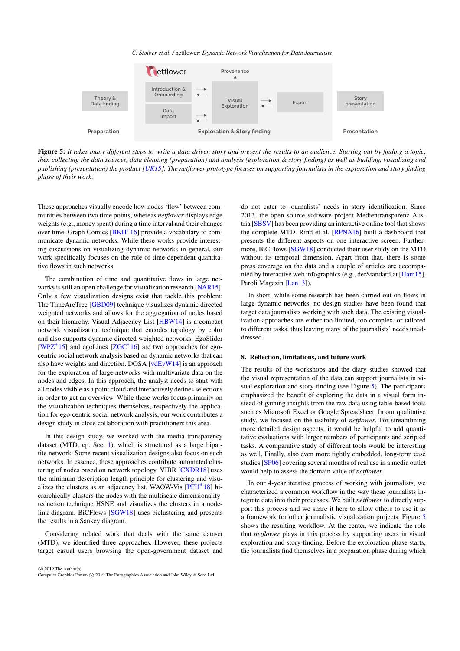*C. Stoiber et al. /* netflower*: Dynamic Network Visualization for Data Journalists*

<span id="page-8-2"></span>

<span id="page-8-1"></span>Figure 5: *It takes many different steps to write a data-driven story and present the results to an audience. Starting out by finding a topic, then collecting the data sources, data cleaning (preparation) and analysis (exploration & story finding) as well as building, visualizing and publishing (presentation) the product [\[UK15\]](#page-12-4). The netflower prototype focuses on supporting journalists in the exploration and story-finding phase of their work.*

These approaches visually encode how nodes 'flow' between communities between two time points, whereas *netflower* displays edge weights (e.g., money spent) during a time interval and their changes over time. Graph Comics [\[BKH](#page-10-26)<sup>∗</sup>16] provide a vocabulary to communicate dynamic networks. While these works provide interesting discussions on visualizing dynamic networks in general, our work specifically focuses on the role of time-dependent quantitative flows in such networks.

The combination of time and quantitative flows in large networks is still an open challenge for visualization research [\[NAR15\]](#page-11-29). Only a few visualization designs exist that tackle this problem: The TimeArcTree [\[GBD09\]](#page-10-27) technique visualizes dynamic directed weighted networks and allows for the aggregation of nodes based on their hierarchy. Visual Adjacency List [\[HBW14\]](#page-10-28) is a compact network visualization technique that encodes topology by color and also supports dynamic directed weighted networks. EgoSlider [\[WPZ](#page-12-7)<sup>\*</sup>15] and egoLines [\[ZGC](#page-12-8)<sup>\*</sup>16] are two approaches for egocentric social network analysis based on dynamic networks that can also have weights and direction. DOSA [\[vdEvW14\]](#page-12-9) is an approach for the exploration of large networks with multivariate data on the nodes and edges. In this approach, the analyst needs to start with all nodes visible as a point cloud and interactively defines selections in order to get an overview. While these works focus primarily on the visualization techniques themselves, respectively the application for ego-centric social network analysis, our work contributes a design study in close collaboration with practitioners this area.

In this design study, we worked with the media transparency dataset (MTD, cp. Sec. [1\)](#page-0-1), which is structured as a large bipartite network. Some recent visualization designs also focus on such networks. In essence, these approaches contribute automated clustering of nodes based on network topology. VIBR [\[CXDR18\]](#page-10-29) uses the minimum description length principle for clustering and visu-alizes the clusters as an adjacency list. WAOW-Vis [\[PFH](#page-11-30)<sup>\*18]</sup> hierarchically clusters the nodes with the multiscale dimensionalityreduction technique HSNE and visualizes the clusters in a nodelink diagram. BiCFlows [\[SGW18\]](#page-11-9) uses biclustering and presents the results in a Sankey diagram.

Considering related work that deals with the same dataset (MTD), we identified three approaches. However, these projects target casual users browsing the open-government dataset and

 c 2019 The Author(s) Computer Graphics Forum  $\circled{c}$  2019 The Eurographics Association and John Wiley & Sons Ltd. do not cater to journalists' needs in story identification. Since 2013, the open source software project Medientransparenz Austria [\[SBSV\]](#page-11-31) has been providing an interactive online tool that shows the complete MTD. Rind et al. [\[RPNA16\]](#page-11-0) built a dashboard that presents the different aspects on one interactive screen. Furthermore, BiCFlows [\[SGW18\]](#page-11-9) conducted their user study on the MTD without its temporal dimension. Apart from that, there is some press coverage on the data and a couple of articles are accompanied by interactive web infographics (e.g., derStandard.at [\[Ham15\]](#page-10-30), Paroli Magazin [\[Lan13\]](#page-11-32)).

In short, while some research has been carried out on flows in large dynamic networks, no design studies have been found that target data journalists working with such data. The existing visualization approaches are either too limited, too complex, or tailored to different tasks, thus leaving many of the journalists' needs unaddressed.

#### <span id="page-8-0"></span>8. Reflection, limitations, and future work

The results of the workshops and the diary studies showed that the visual representation of the data can support journalists in visual exploration and story-finding (see Figure [5\)](#page-8-1). The participants emphasized the benefit of exploring the data in a visual form instead of gaining insights from the raw data using table-based tools such as Microsoft Excel or Google Spreadsheet. In our qualitative study, we focused on the usability of *netflower*. For streamlining more detailed design aspects, it would be helpful to add quantitative evaluations with larger numbers of participants and scripted tasks. A comparative study of different tools would be interesting as well. Finally, also even more tightly embedded, long-term case studies [\[SP06\]](#page-11-33) covering several months of real use in a media outlet would help to assess the domain value of *netflower*.

In our 4-year iterative process of working with journalists, we characterized a common workflow in the way these journalists integrate data into their processes. We built *netflower* to directly support this process and we share it here to allow others to use it as a framework for other journalistic visualization projects. Figure [5](#page-8-1) shows the resulting workflow. At the center, we indicate the role that *netflower* plays in this process by supporting users in visual exploration and story-finding. Before the exploration phase starts, the journalists find themselves in a preparation phase during which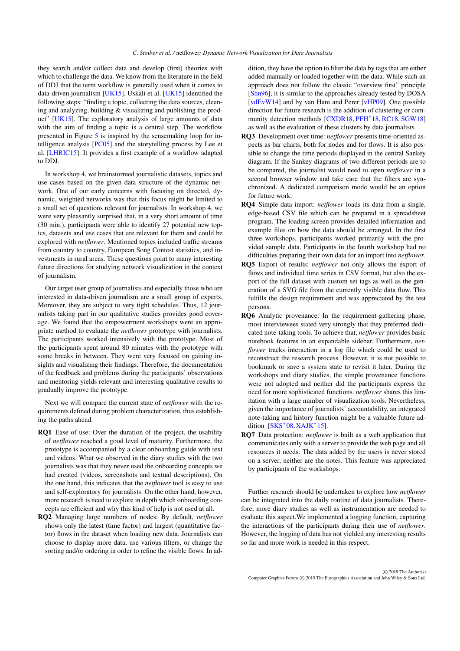<span id="page-9-0"></span>they search and/or collect data and develop (first) theories with which to challenge the data. We know from the literature in the field of DDJ that the term workflow is generally used when it comes to data-driven journalism [\[UK15\]](#page-12-4). Uskali et al. [\[UK15\]](#page-12-4) identified the following steps: "finding a topic, collecting the data sources, cleaning and analyzing, building & visualizing and publishing the product" [\[UK15\]](#page-12-4). The exploratory analysis of large amounts of data with the aim of finding a topic is a central step. The workflow presented in Figure [5](#page-8-1) is inspired by the sensemaking loop for intelligence analysis [\[PC05\]](#page-11-34) and the storytelling process by Lee et al. [\[LHRIC15\]](#page-11-18). It provides a first example of a workflow adapted to DDJ.

In workshop 4, we brainstormed journalistic datasets, topics and use cases based on the given data structure of the dynamic network. One of our early concerns with focusing on directed, dynamic, weighted networks was that this focus might be limited to a small set of questions relevant for journalists. In workshop 4, we were very pleasantly surprised that, in a very short amount of time (30 min.), participants were able to identify 27 potential new topics, datasets and use cases that are relevant for them and could be explored with *netflower*. Mentioned topics included traffic streams from country to country, European Song Contest statistics, and investments in rural areas. These questions point to many interesting future directions for studying network visualization in the context of journalism.

Our target user group of journalists and especially those who are interested in data-driven journalism are a small group of experts. Moreover, they are subject to very tight schedules. Thus, 12 journalists taking part in our qualitative studies provides good coverage. We found that the empowerment workshops were an appropriate method to evaluate the *netflower* prototype with journalists. The participants worked intensively with the prototype. Most of the participants spent around 80 minutes with the prototype with some breaks in between. They were very focused on gaining insights and visualizing their findings. Therefore, the documentation of the feedback and problems during the participants' observations and mentoring yields relevant and interesting qualitative results to gradually improve the prototype.

Next we will compare the current state of *netflower* with the requirements defined during problem characterization, thus establishing the paths ahead.

- RQ1 Ease of use: Over the duration of the project, the usability of *netflower* reached a good level of maturity. Furthermore, the prototype is accompanied by a clear onboarding guide with text and videos. What we observed in the diary studies with the two journalists was that they never used the onboarding concepts we had created (videos, screenshots and textual descriptions). On the one hand, this indicates that the *netflower* tool is easy to use and self-exploratory for journalists. On the other hand, however, more research is need to explore in depth which onboarding concepts are efficient and why this kind of help is not used at all.
- RQ2 Managing large numbers of nodes: By default, *netflower* shows only the latest (time factor) and largest (quantitative factor) flows in the dataset when loading new data. Journalists can choose to display more data, use various filters, or change the sorting and/or ordering in order to refine the visible flows. In ad-

dition, they have the option to filter the data by tags that are either added manually or loaded together with the data. While such an approach does not follow the classic "overview first" principle [\[Shn96\]](#page-11-35), it is similar to the approaches already tested by DOSA [\[vdEvW14\]](#page-12-9) and by van Ham and Perer [\[vHP09\]](#page-12-5). One possible direction for future research is the addition of clustering or com-munity detection methods [\[CXDR18,](#page-10-29) [PFH](#page-11-30)<sup>\*</sup>18, [RC18,](#page-11-36) [SGW18\]](#page-11-9) as well as the evaluation of these clusters by data journalists.

- RQ3 Development over time: *netflower* presents time-oriented aspects as bar charts, both for nodes and for flows. It is also possible to change the time periods displayed in the central Sankey diagram. If the Sankey diagrams of two different periods are to be compared, the journalist would need to open *netflower* in a second browser window and take care that the filters are synchronized. A dedicated comparison mode would be an option for future work.
- RQ4 Simple data import: *netflower* loads its data from a single, edge-based CSV file which can be prepared in a spreadsheet program. The loading screen provides detailed information and example files on how the data should be arranged. In the first three workshops, participants worked primarily with the provided sample data. Participants in the fourth workshop had no difficulties preparing their own data for an import into *netflower*.
- RQ5 Export of results: *netflower* not only allows the export of flows and individual time series in CSV format, but also the export of the full dataset with custom set tags as well as the generation of a SVG file from the currently visible data flow. This fulfills the design requirement and was appreciated by the test persons.
- RQ6 Analytic provenance: In the requirement-gathering phase, most interviewees stated very strongly that they preferred dedicated note-taking tools. To achieve that, *netflower* provides basic notebook features in an expandable sidebar. Furthermore, *netflower* tracks interaction in a log file which could be used to reconstruct the research process. However, it is not possible to bookmark or save a system state to revisit it later. During the workshops and diary studies, the simple provenance functions were not adopted and neither did the participants express the need for more sophisticated functions. *netflower* shares this limitation with a large number of visualization tools. Nevertheless, given the importance of journalists' accountability, an integrated note-taking and history function might be a valuable future addition  $[SKS^*08, XAJK^*15]$  $[SKS^*08, XAJK^*15]$  $[SKS^*08, XAJK^*15]$  $[SKS^*08, XAJK^*15]$ .
- RQ7 Data protection: *netflower* is built as a web application that communicates only with a server to provide the web page and all resources it needs. The data added by the users is never stored on a server, neither are the notes. This feature was appreciated by participants of the workshops.

Further research should be undertaken to explore how *netflower* can be integrated into the daily routine of data journalists. Therefore, more diary studies as well as instrumentation are needed to evaluate this aspect.We implemented a logging function, capturing the interactions of the participants during their use of *netflower*. However, the logging of data has not yielded any interesting results so far and more work is needed in this respect.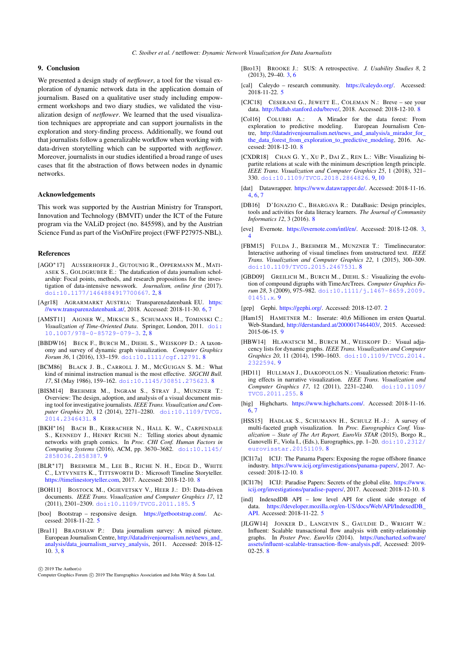#### 9. Conclusion

We presented a design study of *netflower*, a tool for the visual exploration of dynamic network data in the application domain of journalism. Based on a qualitative user study including empowerment workshops and two diary studies, we validated the visualization design of *netflower*. We learned that the used visualization techniques are appropriate and can support journalists in the exploration and story-finding process. Additionally, we found out that journalists follow a generalizable workflow when working with data-driven storytelling which can be supported with *netflower*. Moreover, journalists in our studies identified a broad range of uses cases that fit the abstraction of flows between nodes in dynamic networks.

## Acknowledgements

This work was supported by the Austrian Ministry for Transport, Innovation and Technology (BMVIT) under the ICT of the Future program via the VALiD project (no. 845598), and by the Austrian Science Fund as part of the VisOnFire project (FWF P27975-NBL).

#### References

- <span id="page-10-0"></span>[AGO∗17] AUSSERHOFER J., GUTOUNIG R., OPPERMANN M., MATI-ASEK S., GOLDGRUBER E.: The datafication of data journalism scholarship: Focal points, methods, and research propositions for the investigation of data-intensive newswork. *Journalism, online first* (2017). [doi:10.1177/1464884917700667](http://dx.doi.org/10.1177/1464884917700667). [2,](#page-1-0) [8](#page-7-1)
- <span id="page-10-12"></span>[Agr18] AGRARMARKT AUSTRIA: Transparenzdatenbank EU. [https:](https://www.transparenzdatenbank.at/) [//www.transparenzdatenbank.at/,](https://www.transparenzdatenbank.at/) 2018. Accessed: 2018-11-30. [6,](#page-5-1) [7](#page-6-1)
- <span id="page-10-1"></span>[AMST11] AIGNER W., MIKSCH S., SCHUMANN H., TOMINSKI C.: *Visualization of Time-Oriented Data*. Springer, London, 2011. [doi:](http://dx.doi.org/10.1007/978-0-85729-079-3) [10.1007/978-0-85729-079-3](http://dx.doi.org/10.1007/978-0-85729-079-3). [2,](#page-1-0) [8](#page-7-1)
- <span id="page-10-24"></span>[BBDW16] BECK F., BURCH M., DIEHL S., WEISKOPF D.: A taxonomy and survey of dynamic graph visualization. *Computer Graphics Forum 36*, 1 (2016), 133–159. [doi:10.1111/cgf.12791](http://dx.doi.org/10.1111/cgf.12791). [8](#page-7-1)
- <span id="page-10-13"></span>[BCM86] BLACK J. B., CARROLL J. M., MCGUIGAN S. M.: What kind of minimal instruction manual is the most effective. *SIGCHI Bull. 17*, SI (May 1986), 159–162. [doi:10.1145/30851.275623](http://dx.doi.org/10.1145/30851.275623). [8](#page-7-1)
- <span id="page-10-22"></span>[BISM14] BREHMER M., INGRAM S., STRAY J., MUNZNER T.: Overview: The design, adoption, and analysis of a visual document mining tool for investigative journalists. *IEEE Trans. Visualization and Computer Graphics 20*, 12 (2014), 2271–2280. [doi:10.1109/TVCG.](http://dx.doi.org/10.1109/TVCG.2014.2346431) [2014.2346431](http://dx.doi.org/10.1109/TVCG.2014.2346431). [8](#page-7-1)
- <span id="page-10-26"></span>[BKH∗16] BACH B., KERRACHER N., HALL K. W., CARPENDALE S., KENNEDY J., HENRY RICHE N.: Telling stories about dynamic networks with graph comics. In *Proc. CHI Conf. Human Factors in Computing Systems* (2016), ACM, pp. 3670–3682. [doi:10.1145/](http://dx.doi.org/10.1145/2858036.2858387) [2858036.2858387](http://dx.doi.org/10.1145/2858036.2858387). [9](#page-8-2)
- <span id="page-10-18"></span>[BLR∗17] BREHMER M., LEE B., RICHE N. H., EDGE D., WHITE C., LYTVYNETS K., TITTSWORTH D.: Microsoft Timeline Storyteller. [https://timelinestoryteller.com,](https://timelinestoryteller.com) 2017. Accessed: 2018-12-10. [8](#page-7-1)
- <span id="page-10-9"></span>[BOH11] BOSTOCK M., OGIEVETSKY V., HEER J.: D3: Data-driven documents. *IEEE Trans. Visualization and Computer Graphics 17*, 12 (2011), 2301–2309. [doi:10.1109/TVCG.2011.185](http://dx.doi.org/10.1109/TVCG.2011.185). [5](#page-4-1)
- <span id="page-10-10"></span>[boo] Bootstrap – responsive design. [https://getbootstrap.com/.](https://getbootstrap.com/) Accessed: 2018-11-22. [5](#page-4-1)
- <span id="page-10-4"></span>[Bra11] BRADSHAW P.: Data journalism survey: A mixed picture. European Journalism Centre, [http://datadrivenjournalism.net/news\\_and\\_](http://datadrivenjournalism.net/news_and_analysis/data_journalism_survey_analysis) [analysis/data\\_journalism\\_survey\\_analysis,](http://datadrivenjournalism.net/news_and_analysis/data_journalism_survey_analysis) 2011. Accessed: 2018-12- 10. [3,](#page-2-2) [8](#page-7-1)

c 2019 The Author(s)

Computer Graphics Forum  $\circled{c}$  2019 The Eurographics Association and John Wiley & Sons Ltd.

- <span id="page-10-3"></span>[Bro13] BROOKE J.: SUS: A retrospective. *J. Usability Studies 8*, 2 (2013), 29–40. [3,](#page-2-2) [6](#page-5-1)
- <span id="page-10-8"></span>[cal] Caleydo – research community. [https://caleydo.org/.](https://caleydo.org/) Accessed: 2018-11-22. [5](#page-4-1)
- <span id="page-10-19"></span>[CJC18] CESERANI G., JEWETT E., COLEMAN N.: Breve – see your data. [http://hdlab.stanford.edu/breve/,](http://hdlab.stanford.edu/breve/) 2018. Accessed: 2018-12-10. [8](#page-7-1)
- <span id="page-10-20"></span>[Col16] COLUBRI A.: A Mirador for the data forest: From exploration to predictive modeling. tre, [http://datadrivenjournalism.net/news\\_and\\_analysis/a\\_mirador\\_for\\_](http://datadrivenjournalism.net/news_and_analysis/a_mirador_for_the_data_forest_from_exploration_to_predictive_modeling) [the\\_data\\_forest\\_from\\_exploration\\_to\\_predictive\\_modeling,](http://datadrivenjournalism.net/news_and_analysis/a_mirador_for_the_data_forest_from_exploration_to_predictive_modeling) 2016. Accessed: 2018-12-10. [8](#page-7-1)
- <span id="page-10-29"></span>[CXDR18] CHAN G. Y., XU P., DAI Z., REN L.: ViBr: Visualizing bipartite relations at scale with the minimum description length principle. *IEEE Trans. Visualization and Computer Graphics 25*, 1 (2018), 321– 330. [doi:10.1109/TVCG.2018.2864826](http://dx.doi.org/10.1109/TVCG.2018.2864826). [9,](#page-8-2) [10](#page-9-0)
- <span id="page-10-6"></span>[dat] Datawrapper. [https://www.datawrapper.de/.](https://www.datawrapper.de/) Accessed: 2018-11-16. [4,](#page-3-1) [6,](#page-5-1) [7](#page-6-1)
- <span id="page-10-21"></span>[DB16] D'IGNAZIO C., BHARGAVA R.: DataBasic: Design principles, tools and activities for data literacy learners. *The Journal of Community Informatics 12*, 3 (2016). [8](#page-7-1)
- <span id="page-10-5"></span>[eve] Evernote. [https://evernote.com/intl/en/.](https://evernote.com/intl/en/) Accessed: 2018-12-08. [3,](#page-2-2) [4](#page-3-1)
- <span id="page-10-17"></span>[FBM15] FULDA J., BREHMER M., MUNZNER T.: Timelinecurator: Interactive authoring of visual timelines from unstructured text. *IEEE Trans. Visualization and Computer Graphics 22*, 1 (2015), 300–309. [doi:10.1109/TVCG.2015.2467531](http://dx.doi.org/10.1109/TVCG.2015.2467531). [8](#page-7-1)
- <span id="page-10-27"></span>[GBD09] GREILICH M., BURCH M., DIEHL S.: Visualizing the evolution of compound digraphs with TimeArcTrees. *Computer Graphics Forum 28*, 3 (2009), 975–982. [doi:10.1111/j.1467-8659.2009.](http://dx.doi.org/10.1111/j.1467-8659.2009.01451.x) [01451.x](http://dx.doi.org/10.1111/j.1467-8659.2009.01451.x). [9](#page-8-2)
- <span id="page-10-2"></span>[gep] Gephi. [https://gephi.org/.](https://gephi.org/) Accessed: [2](#page-1-0)018-12-07. 2
- <span id="page-10-30"></span>[Ham15] HAMETNER M.: Inserate: 40,6 Millionen im ersten Quartal. Web-Standard, [http://derstandard.at/2000017464403/,](http://derstandard.at/2000017464403/) 2015. Accessed: 2015-06-15. [9](#page-8-2)
- <span id="page-10-28"></span>[HBW14] HLAWATSCH M., BURCH M., WEISKOPF D.: Visual adjacency lists for dynamic graphs. *IEEE Trans. Visualization and Computer Graphics 20*, 11 (2014), 1590–1603. [doi:10.1109/TVCG.2014.](http://dx.doi.org/10.1109/TVCG.2014.2322594) [2322594](http://dx.doi.org/10.1109/TVCG.2014.2322594). [9](#page-8-2)
- <span id="page-10-16"></span>[HD11] HULLMAN J., DIAKOPOULOS N.: Visualization rhetoric: Framing effects in narrative visualization. *IEEE Trans. Visualization and Computer Graphics 17*, 12 (2011), 2231–2240. [doi:10.1109/](http://dx.doi.org/10.1109/TVCG.2011.255) [TVCG.2011.255](http://dx.doi.org/10.1109/TVCG.2011.255). [8](#page-7-1)
- <span id="page-10-11"></span>[hig] Highcharts. [https://www.highcharts.com/.](https://www.highcharts.com/) Accessed: 2018-11-16. [6,](#page-5-1) [7](#page-6-1)
- <span id="page-10-25"></span>[HSS15] HADLAK S., SCHUMANN H., SCHULZ H.-J.: A survey of multi-faceted graph visualization. In *Proc. Eurographics Conf. Visualization – State of The Art Report, EuroVis STAR* (2015), Borgo R., Ganovelli F., Viola I., (Eds.), Eurographics, pp. 1–20. [doi:10.2312/](http://dx.doi.org/10.2312/eurovisstar.20151109) [eurovisstar.20151109](http://dx.doi.org/10.2312/eurovisstar.20151109). [8](#page-7-1)
- <span id="page-10-14"></span>[ICI17a] ICIJ: The Panama Papers: Exposing the rogue offshore finance industry. [https://www.icij.org/investigations/panama-papers/,](https://www.icij.org/investigations/panama-papers/) 2017. Accessed: 2018-12-10. [8](#page-7-1)
- <span id="page-10-15"></span>[ICI17b] ICIJ: Paradise Papers: Secrets of the global elite. [https://www.](https://www.icij.org/investigations/paradise-papers/) [icij.org/investigations/paradise-papers/,](https://www.icij.org/investigations/paradise-papers/) 2017. Accessed: 2018-12-10. [8](#page-7-1)
- <span id="page-10-7"></span>[ind] IndexedDB API – low level API for client side storage of data. [https://developer.mozilla.org/en-US/docs/Web/API/IndexedDB\\_](https://developer.mozilla.org/en-US/docs/Web/API/IndexedDB_API) [API.](https://developer.mozilla.org/en-US/docs/Web/API/IndexedDB_API) Accessed: 2018-11-22. [5](#page-4-1)
- <span id="page-10-23"></span>[JLGW14] JONKER D., LANGEVIN S., GAULDIE D., WRIGHT W.: Influent: Scalable transactional flow analysis with entity-relationship graphs. In *Poster Proc. EuroVis* (2014). [https://uncharted.software/](https://uncharted.software/assets/influent-scalable-transaction-flow-analysis.pdf) [assets/influent-scalable-transaction-flow-analysis.pdf,](https://uncharted.software/assets/influent-scalable-transaction-flow-analysis.pdf) Accessed: 2019- 02-25. [8](#page-7-1)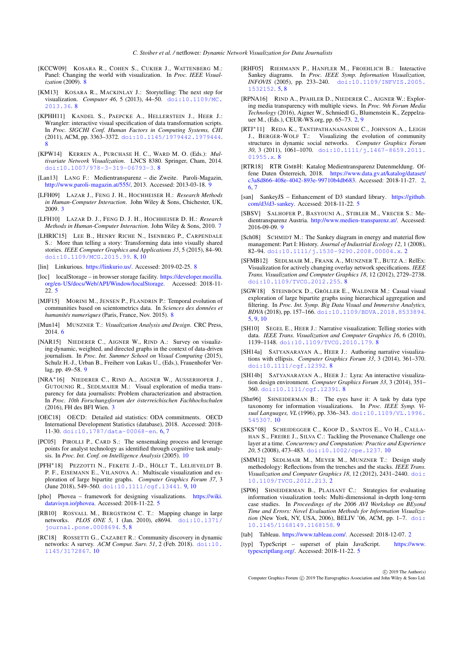- <span id="page-11-23"></span>[KCCW09] KOSARA R., COHEN S., CUKIER J., WATTENBERG M.: Panel: Changing the world with visualization. In *Proc. IEEE Visualization* (2009). [8](#page-7-1)
- <span id="page-11-17"></span>[KM13] KOSARA R., MACKINLAY J.: Storytelling: The next step for visualization. *Computer 46*, 5 (2013), 44–50. [doi:10.1109/MC.](http://dx.doi.org/10.1109/MC.2013.36) [2013.36](http://dx.doi.org/10.1109/MC.2013.36). [8](#page-7-1)
- <span id="page-11-22"></span>[KPHH11] KANDEL S., PAEPCKE A., HELLERSTEIN J., HEER J.: Wrangler: interactive visual specification of data transformation scripts. In *Proc. SIGCHI Conf. Human Factors in Computing Systems, CHI* (2011), ACM, pp. 3363–3372. [doi:10.1145/1979442.1979444](http://dx.doi.org/10.1145/1979442.1979444). [8](#page-7-1)
- <span id="page-11-25"></span>[KPW14] KERREN A., PURCHASE H. C., WARD M. O. (Eds.): *Multivariate Network Visualization*. LNCS 8380. Springer, Cham, 2014. [doi:10.1007/978-3-319-06793-3](http://dx.doi.org/10.1007/978-3-319-06793-3). [8](#page-7-1)
- <span id="page-11-32"></span>[Lan13] LANG F.: Medientransparenz – die Zweite. Paroli-Magazin, [http://www.paroli-magazin.at/555/,](http://www.paroli-magazin.at/555/) 2013. Accessed: 2013-03-18. [9](#page-8-2)
- <span id="page-11-5"></span>[LFH09] LAZAR J., FENG J. H., HOCHHEISER H.: *Research Methods in Human-Computer Interaction*. John Wiley & Sons, Chichester, UK, 2009. [3](#page-2-2)
- <span id="page-11-16"></span>[LFH10] LAZAR D. J., FENG D. J. H., HOCHHEISER D. H.: *Research Methods in Human-Computer Interaction*. John Wiley & Sons, 2010. [7](#page-6-1)
- <span id="page-11-18"></span>[LHRIC15] LEE B., HENRY RICHE N., ISENBERG P., CARPENDALE S.: More than telling a story: Transforming data into visually shared stories. *IEEE Computer Graphics and Applications 35*, 5 (2015), 84–90. [doi:10.1109/MCG.2015.99](http://dx.doi.org/10.1109/MCG.2015.99). [8,](#page-7-1) [10](#page-9-0)
- <span id="page-11-24"></span>[lin] Linkurious. [https://linkurio.us/.](https://linkurio.us/) Accessed: 2019-02-25. [8](#page-7-1)
- <span id="page-11-10"></span>[loc] localStorage – in browser storage facility. [https://developer.mozilla.](https://developer.mozilla.org/en-US/docs/Web/API/Window/localStorage) [org/en-US/docs/Web/API/Window/localStorage.](https://developer.mozilla.org/en-US/docs/Web/API/Window/localStorage) Accessed: 2018-11- 22. [5](#page-4-1)
- <span id="page-11-28"></span>[MJF15] MORINI M., JENSEN P., FLANDRIN P.: Temporal evolution of communities based on scientometrics data. In *Sciences des données et humanités numeriques* (Paris, France, Nov. 2015). [8](#page-7-1)
- <span id="page-11-15"></span>[Mun14] MUNZNER T.: *Visualization Analysis and Design*. CRC Press, 2014. [6](#page-5-1)
- <span id="page-11-29"></span>[NAR15] NIEDERER C., AIGNER W., RIND A.: Survey on visualizing dynamic, weighted, and directed graphs in the context of data-driven journalism. In *Proc. Int. Summer School on Visual Computing* (2015), Schulz H.-J., Urban B., Freiherr von Lukas U., (Eds.), Frauenhofer Verlag, pp. 49–58. [9](#page-8-2)
- <span id="page-11-6"></span>[NRA∗16] NIEDERER C., RIND A., AIGNER W., AUSSERHOFER J., GUTOUNIG R., SEDLMAIER M.: Visual exploration of media transparency for data journalists: Problem characterization and abstraction. In *Proc. 10th Forschungsforum der österreichischen Fachhochschulen* (2016), FH des BFI Wien. [3](#page-2-2)
- <span id="page-11-14"></span>[OEC18] OECD: Detailed aid statistics: ODA commitments. OECD International Development Statistics (database), 2018. Accessed: 2018- 11-30. [doi:10.1787/data-00068-en](http://dx.doi.org/10.1787/data-00068-en). [6,](#page-5-1) [7](#page-6-1)
- <span id="page-11-34"></span>[PC05] PIROLLI P., CARD S.: The sensemaking process and leverage points for analyst technology as identified through cognitive task analysis. In *Proc. Int. Conf. on Intelligence Analysis* (2005). [10](#page-9-0)
- <span id="page-11-30"></span>[PFH∗18] PEZZOTTI N., FEKETE J.-D., HÖLLT T., LELIEVELDT B. P. F., EISEMANN E., VILANOVA A.: Multiscale visualization and exploration of large bipartite graphs. *Computer Graphics Forum 37*, 3  $($  June 2018), 549–560. doi:10.1111/cqf.13441. [9,](#page-8-2) [10](#page-9-0)
- <span id="page-11-11"></span>[pho] Phovea – framework for designing visualizations. [https://wiki.](https://wiki.datavisyn.io/phovea) [datavisyn.io/phovea.](https://wiki.datavisyn.io/phovea) Accessed: 2018-11-22. [5](#page-4-1)
- <span id="page-11-8"></span>[RB10] ROSVALL M., BERGSTROM C. T.: Mapping change in large networks. *PLOS ONE 5*, 1 (Jan. 2010), e8694. [doi:10.1371/](http://dx.doi.org/10.1371/journal.pone.0008694) [journal.pone.0008694](http://dx.doi.org/10.1371/journal.pone.0008694). [5,](#page-4-1) [8](#page-7-1)
- <span id="page-11-36"></span>[RC18] ROSSETTI G., CAZABET R.: Community discovery in dynamic networks: A survey. *ACM Comput. Surv. 51*, 2 (Feb. 2018). [doi:10.](http://dx.doi.org/10.1145/3172867) [1145/3172867](http://dx.doi.org/10.1145/3172867). [10](#page-9-0)
- <span id="page-11-7"></span>[RHF05] RIEHMANN P., HANFLER M., FROEHLICH B.: Interactive Sankey diagrams. In *Proc. IEEE Symp. Information Visualization, INFOVIS* (2005), pp. 233–240. [doi:10.1109/INFVIS.2005.](http://dx.doi.org/10.1109/INFVIS.2005.1532152) [1532152](http://dx.doi.org/10.1109/INFVIS.2005.1532152). [5,](#page-4-1) [8](#page-7-1)
- <span id="page-11-0"></span>[RPNA16] RIND A., PFAHLER D., NIEDERER C., AIGNER W.: Exploring media transparency with multiple views. In *Proc. 9th Forum Media Technology* (2016), Aigner W., Schmiedl G., Blumenstein K., Zeppelzauer M., (Eds.), CEUR-WS.org, pp. 65–73. [2,](#page-1-0) [9](#page-8-2)
- <span id="page-11-27"></span>[RTJ∗11] REDA K., TANTIPATHANANANDH C., JOHNSON A., LEIGH J., BERGER-WOLF T.: Visualizing the evolution of community structures in dynamic social networks. *Computer Graphics Forum 30*, 3 (2011), 1061–1070. [doi:10.1111/j.1467-8659.2011.](http://dx.doi.org/10.1111/j.1467-8659.2011.01955.x) [01955.x](http://dx.doi.org/10.1111/j.1467-8659.2011.01955.x). [8](#page-7-1)
- <span id="page-11-1"></span>[RTR18] RTR GMBH: Katalog Medientransparenz Datenmeldung. Offene Daten Österreich, 2018. [https://www.data.gv.at/katalog/dataset/](https://www.data.gv.at/katalog/dataset/c3a8d866-408e-4042-893e-99710b4db683) [c3a8d866-408e-4042-893e-99710b4db683.](https://www.data.gv.at/katalog/dataset/c3a8d866-408e-4042-893e-99710b4db683) Accessed: 2018-11-27. [2,](#page-1-0) [6,](#page-5-1) [7](#page-6-1)
- <span id="page-11-13"></span>[san] SankeyJS – Enhancement of D3 standard library. [https://github.](https://github.com/d3/d3-sankey) [com/d3/d3-sankey.](https://github.com/d3/d3-sankey) Accessed: 2018-11-22. [5](#page-4-1)
- <span id="page-11-31"></span>[SBSV] SALHOFER P., BASYOUNI A., STIBLER M., VRECER S.: Medientransparenz Austria. [http://www.medien-transparenz.at/.](http://www.medien-transparenz.at/) Accessed: 2016-09-09. [9](#page-8-2)
- <span id="page-11-3"></span>[Sch08] SCHMIDT M.: The Sankey diagram in energy and material flow management: Part I: History. *Journal of Industrial Ecology 12*, 1 (2008), 82–94. [doi:10.1111/j.1530-9290.2008.00004.x](http://dx.doi.org/10.1111/j.1530-9290.2008.00004.x). [2](#page-1-0)
- <span id="page-11-26"></span>[SFMB12] SEDLMAIR M., FRANK A., MUNZNER T., BUTZ A.: RelEx: Visualization for actively changing overlay network specifications. *IEEE Trans. Visualization and Computer Graphics 18*, 12 (2012), 2729–2738. [doi:10.1109/TVCG.2012.255](http://dx.doi.org/10.1109/TVCG.2012.255). [8](#page-7-1)
- <span id="page-11-9"></span>[SGW18] STEINBÖCK D., GRÖLLER E., WALDNER M.: Casual visual exploration of large bipartite graphs using hierarchical aggregation and filtering. In *Proc. Int. Symp. Big Data Visual and Immersive Analytics, BDVA* (2018), pp. 157–166. [doi:10.1109/BDVA.2018.8533894](http://dx.doi.org/10.1109/BDVA.2018.8533894). [5,](#page-4-1) [9,](#page-8-2) [10](#page-9-0)
- <span id="page-11-19"></span>[SH10] SEGEL E., HEER J.: Narrative visualization: Telling stories with data. *IEEE Trans. Visualization and Computer Graphics 16*, 6 (2010), 1139–1148. [doi:10.1109/TVCG.2010.179](http://dx.doi.org/10.1109/TVCG.2010.179). [8](#page-7-1)
- <span id="page-11-20"></span>[SH14a] SATYANARAYAN A., HEER J.: Authoring narrative visualizations with ellipsis. *Computer Graphics Forum 33*, 3 (2014), 361–370. [doi:10.1111/cgf.12392](http://dx.doi.org/10.1111/cgf.12392). [8](#page-7-1)
- <span id="page-11-21"></span>[SH14b] SATYANARAYAN A., HEER J.: Lyra: An interactive visualization design environment. *Computer Graphics Forum 33*, 3 (2014), 351– 360. [doi:10.1111/cgf.12391](http://dx.doi.org/10.1111/cgf.12391). [8](#page-7-1)
- <span id="page-11-35"></span>[Shn96] SHNEIDERMAN B.: The eyes have it: A task by data type taxonomy for information visualizations. In *Proc. IEEE Symp. Visual Languages, VL* (1996), pp. 336–343. [doi:10.1109/VL.1996.](http://dx.doi.org/10.1109/VL.1996.545307) [545307](http://dx.doi.org/10.1109/VL.1996.545307). [10](#page-9-0)
- <span id="page-11-37"></span>[SKS∗08] SCHEIDEGGER C., KOOP D., SANTOS E., V<sup>O</sup> H., CALLA-HAN S., FREIRE J., SILVA C.: Tackling the Provenance Challenge one layer at a time. *Concurrency and Computation: Practice and Experience 20*, 5 (2008), 473–483. [doi:10.1002/cpe.1237](http://dx.doi.org/10.1002/cpe.1237). [10](#page-9-0)
- <span id="page-11-4"></span>[SMM12] SEDLMAIR M., MEYER M., MUNZNER T.: Design study methodology: Reflections from the trenches and the stacks. *IEEE Trans. Visualization and Computer Graphics 18*, 12 (2012), 2431–2440. [doi:](http://dx.doi.org/10.1109/TVCG.2012.213) [10.1109/TVCG.2012.213](http://dx.doi.org/10.1109/TVCG.2012.213). [2](#page-1-0)
- <span id="page-11-33"></span>[SP06] SHNEIDERMAN B., PLAISANT C.: Strategies for evaluating information visualization tools: Multi-dimensional in-depth long-term case studies. In *Proceedings of the 2006 AVI Workshop on BEyond Time and Errors: Novel Evaluation Methods for Information Visualization* (New York, NY, USA, 2006), BELIV '06, ACM, pp. 1–7. [doi:](http://dx.doi.org/10.1145/1168149.1168158) [10.1145/1168149.1168158](http://dx.doi.org/10.1145/1168149.1168158). [9](#page-8-2)
- <span id="page-11-2"></span>[tab] Tableau. [https://www.tableau.com/.](https://www.tableau.com/) Accessed: 2018-12-07. [2](#page-1-0)
- <span id="page-11-12"></span>[typ] TypeScript – superset of plain JavaScript. [https://www.](https://www.typescriptlang.org/) [typescriptlang.org/.](https://www.typescriptlang.org/) Accessed: 2018-11-22. [5](#page-4-1)

 $\circ$  2019 The Author(s)

Computer Graphics Forum (C) 2019 The Eurographics Association and John Wiley & Sons Ltd.